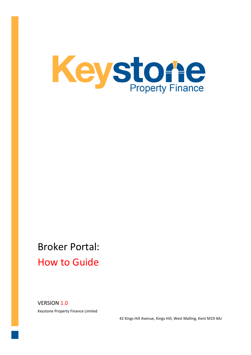

# Broker Portal: How to Guide

VERSION 1.0 Keystone Property Finance Limited

42 Kings Hill Avenue, Kings Hill, West Malling, Kent M19 4AJ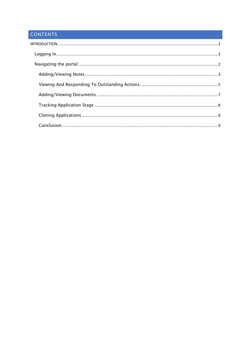# CONTENTS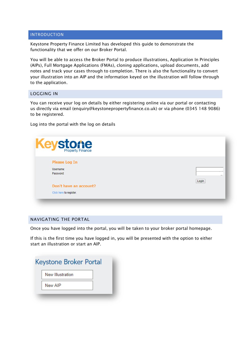## <span id="page-2-0"></span>**INTRODUCTION**

Keystone Property Finance Limited has developed this guide to demonstrate the functionality that we offer on our Broker Portal.

You will be able to access the Broker Portal to produce illustrations, Application In Principles (AIPs), Full Mortgage Applications (FMAs), cloning applications, upload documents, add notes and track your cases through to completion. There is also the functionality to convert your illustration into an AIP and the information keyed on the illustration will follow through to the application.

# <span id="page-2-1"></span>LOGGING IN

You can receive your log on details by either registering online via our portal or contacting us directly via email (enquiry@keystonepropertyfinance.co.uk) or via phone (0345 148 9086) to be registered.

Log into the portal with the log on details

| Keyston Finance         |       |
|-------------------------|-------|
| <b>Please Log In</b>    |       |
| Username:               |       |
| Password:               |       |
|                         | Login |
| Don't have an account?  |       |
| Click here to register. |       |

# <span id="page-2-2"></span>NAVIGATING THE PORTAL

Once you have logged into the portal, you will be taken to your broker portal homepage.

If this is the first time you have logged in, you will be presented with the option to either start an illustration or start an AIP.

| Keystone Broker Portal |
|------------------------|
| New Illustration       |
| New AIP                |
|                        |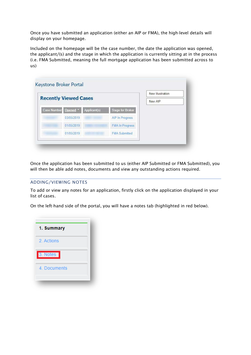Once you have submitted an application (either an AIP or FMA), the high-level details will display on your homepage.

Included on the homepage will be the case number, the date the application was opened, the applicant/(s) and the stage in which the application is currently sitting at in the process (i.e. FMA Submitted, meaning the full mortgage application has been submitted across to us)

|                    |                              |                          |                         | New Illustration |
|--------------------|------------------------------|--------------------------|-------------------------|------------------|
|                    | <b>Recently Viewed Cases</b> |                          |                         | New AIP          |
| <b>Case Number</b> | Opened *                     | Applicant(s)             | <b>Stage for Broker</b> |                  |
|                    | 03/05/2019                   |                          | <b>AIP In Progress</b>  |                  |
|                    | 01/05/2019                   |                          | <b>FMA In Progress</b>  |                  |
|                    | 01/05/2019                   | <b>Contract Contract</b> | <b>FMA Submitted</b>    |                  |

Once the application has been submitted to us (either AIP Submitted or FMA Submitted), you will then be able add notes, documents and view any outstanding actions required.

# <span id="page-3-0"></span>ADDING/VIEWING NOTES

To add or view any notes for an application, firstly click on the application displayed in your list of cases.

On the left-hand side of the portal, you will have a notes tab (highlighted in red below).

| 1. Summary   |  |
|--------------|--|
| 2. Actions   |  |
| 3. Notes     |  |
| 4. Documents |  |
|              |  |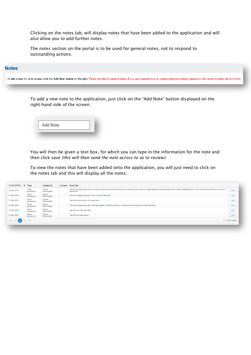Clicking on the notes tab, will display notes that have been added to the application and will also allow you to add further notes.

The notes section on the portal is to be used for general notes, not to respond to outstanding actions.

# **Notes**

To add a note for us to review, click the 'Add Note' button on the right. Please use this for general notes, if you are responding to an outstanding requirement, please do this via the Actions tab on the left.

To add a new note to the application, just click on the "Add Note" button displayed on the right-hand side of the screen.



You will then be given a text box, for which you can type in the information for the note and then click save *(this will then send the note across to us to review).*

To view the notes that have been added onto the application, you will just need to click on the notes tab and this will display all the notes:

| <b>Created Date</b> | $\overline{\phantom{a}}$ | Type                 | Created By              | Contact Note Text                                                                                                                                                                                                            |                    |
|---------------------|--------------------------|----------------------|-------------------------|------------------------------------------------------------------------------------------------------------------------------------------------------------------------------------------------------------------------------|--------------------|
| 07 May 2019         |                          | Stage<br>progression | System<br>Administrator | The full mortgage application has been accepted subject to full underwriting. Please pay the fees and upload supporting documentation listed under outstanding items so the underwriting team can review the<br>application. | View               |
| 07 May 2019         |                          | Stage<br>progression | System<br>Administrator | The full mortgage application has now been submitted.                                                                                                                                                                        | View               |
| 07 May 2019         |                          | Stage<br>progression | System<br>Administrator | Fees have been paid on this application                                                                                                                                                                                      | View               |
| 07 May 2019         |                          | Stage<br>progression | System<br>Administrator | The full mortgage application has been started, await all information to be entered and application to be submitted.                                                                                                         | View               |
| 07 May 2019         |                          | Stage<br>progression | System<br>Administrator | The AIP has been submitted                                                                                                                                                                                                   | View               |
| 07 May 2019         |                          | Stage<br>progression | System<br>Administrator | The AIP has been started                                                                                                                                                                                                     | View               |
|                     |                          |                      |                         |                                                                                                                                                                                                                              | $1 - 6$ of 6 items |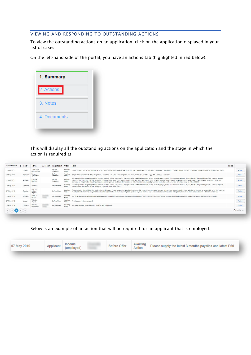# <span id="page-5-0"></span>VIEWING AND RESPONDING TO OUTSTANDING ACTIONS

To view the outstanding actions on an application, click on the application displayed in your list of cases.

On the left-hand side of the portal, you have an actions tab (highlighted in red below).



This will display all the outstanding actions on the application and the stage in which the action is required at.

| Required at<br><b>Status</b><br>Applicant<br>Text<br>Party<br>Name                                                                                                                                                                                                                                                                                                                                                                                                                                                                                                                                                                                                                                                                         | <b>Notes</b> |                  |
|--------------------------------------------------------------------------------------------------------------------------------------------------------------------------------------------------------------------------------------------------------------------------------------------------------------------------------------------------------------------------------------------------------------------------------------------------------------------------------------------------------------------------------------------------------------------------------------------------------------------------------------------------------------------------------------------------------------------------------------------|--------------|------------------|
| Before<br>Application<br>Awaiting<br>Please confirm that the information on the application summary available under documents is correct. Please add any relevant notes with regards to this condition and tick the box to confirm you have completed this action.<br><b>Broker</b><br>Action<br>confirmation<br>Valuation                                                                                                                                                                                                                                                                                                                                                                                                                 |              | Action           |
| <b>Before</b><br>Awaiting<br>Tenancy<br>As you have indication that this property is or will be a corporate or housing association let, please supply a full copy of the tenancy agreement.<br>Applicant<br>Action<br>Valuation<br>agreemen                                                                                                                                                                                                                                                                                                                                                                                                                                                                                                |              | Action           |
| Please upload the property portfolio. Property portfolio will be compared to the applicant(s) credit file to confirm history of mortgage payments. If information returned does not match the portfolio provided we may reques<br>Awaiting<br>Portfolio<br>Before<br>further details and evidence that mortgage payments have been made. For applicants with 4 or more mortgaged properties the portfolio will be validated using automated valuations. Using this we will confirm the rental<br>Applicant<br>Valuation<br>Action<br>landlord<br>coverage of the portfolio, including unencumbered properties, is at least 125% stressed at 5.5% and all mortgaged properties within the portfolio have a rental coverage of at least 100% |              | Action           |
| Please upload the property portfolio. Property portfolio will be compared to the applicant(s) credit file to confirm history of mortgage payments. If information returned does not match the portfolio provided we may reques<br>Awaiting<br>Before Offer<br>Portfolio<br>Applicant<br>further details and evidence that mortgage payments have been made.<br>Action                                                                                                                                                                                                                                                                                                                                                                      |              | Action           |
| Solicitor<br>Please confirm the solicitors the applicant(s) wish to use. Please provide the solicitors firm name, full address, contact name, contact number and contact email. Please note for solicitors to be acceptable to us they must<br>Awaiting<br>Before Offer<br>details<br>Applicant<br>registered with the law society and have a minimum of 3 SRA partners showing as registered. By exception we can consider a solicitor firm with 2 SRA partners when we have a separate firm action on our behalf.<br>Action<br>required                                                                                                                                                                                                  |              | Action           |
| Proof of<br>Awaiting<br>Before Offer<br>We have not been able to verify the applicants proof of identity electronically, please supply certified proof of identity. For information on what documentation we can accept please see our identification quidelines.<br>Applicant<br>identity<br>Action                                                                                                                                                                                                                                                                                                                                                                                                                                       |              | Action           |
| Valuation<br>A satisfactory valuation report.<br>Before Offer<br>Valuer<br>Report                                                                                                                                                                                                                                                                                                                                                                                                                                                                                                                                                                                                                                                          |              | Action           |
| Awaiting<br>Income<br>Please supply the latest 3 months payslips and latest P60<br>Before Offer<br>Applicant<br>Action<br>(employed)                                                                                                                                                                                                                                                                                                                                                                                                                                                                                                                                                                                                       |              | Action           |
|                                                                                                                                                                                                                                                                                                                                                                                                                                                                                                                                                                                                                                                                                                                                            |              | I - 8 of 8 items |

Below is an example of an action that will be required for an applicant that is employed:

|             | Income |                     |                    |                                                           |  |
|-------------|--------|---------------------|--------------------|-----------------------------------------------------------|--|
| 07 May 2019 |        | <b>Before Offer</b> | Awaiting<br>Action | Please supply the latest 3 months payslips and latest P60 |  |
|             |        |                     |                    |                                                           |  |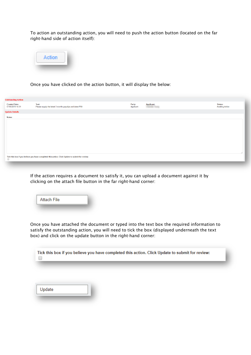To action an outstanding action, you will need to push the action button (located on the far right-hand side of action itself):



Once you have clicked on the action button, it will display the below:

| <b>Outstanding Action</b>                |                                                                                                 |                     |                                           |                                   |
|------------------------------------------|-------------------------------------------------------------------------------------------------|---------------------|-------------------------------------------|-----------------------------------|
| <b>Created Date:</b><br>07/05/2019 14:31 | Text:<br>Please supply the latest 3 months payslips and latest P60                              | Party:<br>Applicant | <b>Applicant:</b><br><b>Service Trans</b> | Status:<br><b>Awaiting Action</b> |
| <b>Update Details</b>                    |                                                                                                 |                     |                                           |                                   |
| Notes:                                   |                                                                                                 |                     |                                           |                                   |
|                                          |                                                                                                 |                     |                                           |                                   |
|                                          |                                                                                                 |                     |                                           |                                   |
|                                          |                                                                                                 |                     |                                           |                                   |
|                                          |                                                                                                 |                     |                                           |                                   |
|                                          |                                                                                                 |                     |                                           |                                   |
|                                          |                                                                                                 |                     |                                           |                                   |
|                                          |                                                                                                 |                     |                                           |                                   |
|                                          |                                                                                                 |                     |                                           |                                   |
| $\Box$                                   | Tick this box if you believe you have completed this action. Click Update to submit for review: |                     |                                           |                                   |
|                                          |                                                                                                 |                     |                                           |                                   |

If the action requires a document to satisfy it, you can upload a document against it by clicking on the attach file button in the far right-hand corner:

**Attach File** 

Once you have attached the document or typed into the text box the required information to satisfy the outstanding action, you will need to tick the box (displayed underneath the text box) and click on the update button in the right-hand corner:

Tick this box if you believe you have completed this action. Click Update to submit for review:  $\Box$ 

| Update |  |
|--------|--|
|        |  |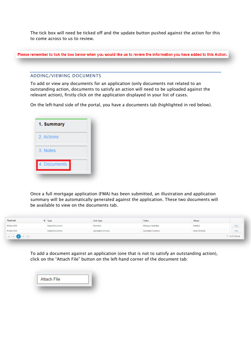The tick box will need be ticked off and the update button pushed against the action for this to come across to us to review.

Please remember to tick the box below when you would like us to review the information you have added to this Action.

#### <span id="page-7-0"></span>ADDING/VIEWING DOCUMENTS

To add or view any documents for an application (only documents not related to an outstanding action, documents to satisfy an action will need to be uploaded against the relevant action), firstly click on the application displayed in your list of cases.

On the left-hand side of the portal, you have a documents tab (highlighted in red below).

| 2. Actions<br>3. Notes | 1. Summary   |
|------------------------|--------------|
|                        |              |
|                        |              |
|                        | 4. Documents |

Once a full mortgage application (FMA) has been submitted, an illustration and application summary will be automatically generated against the application. These two documents will be available to view on the documents tab.

| System Documents | Illustration        | Mortgage Illustration | Satisfied<br>and an actions | View |
|------------------|---------------------|-----------------------|-----------------------------|------|
| System Documents | Application Summary | Application Summary   | Items Received              | View |
|                  |                     |                       |                             |      |

To add a document against an application (one that is not to satisfy an outstanding action), click on the "Attach File" button on the left-hand corner of the document tab:

| <b>Attach File</b> |  |
|--------------------|--|
|                    |  |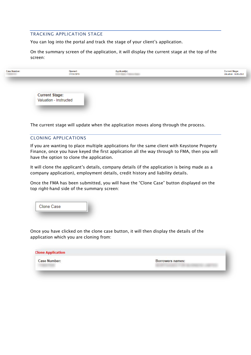# <span id="page-8-0"></span>TRACKING APPLICATION STAGE

You can log into the portal and track the stage of your client's application.

On the summary screen of the application, it will display the current stage at the top of the screen:



The current stage will update when the application moves along through the process.

# <span id="page-8-1"></span>CLONING APPLICATIONS

If you are wanting to place multiple applications for the same client with Keystone Property Finance, once you have keyed the first application all the way through to FMA, then you will have the option to clone the application.

It will clone the applicant's details, company details (if the application is being made as a company application), employment details, credit history and liability details.

Once the FMA has been submitted, you will have the "Clone Case" button displayed on the top right-hand side of the summary screen:

| <b>Clone Case</b> |  |
|-------------------|--|
|                   |  |

Once you have clicked on the clone case button, it will then display the details of the application which you are cloning from:

| <b>Clone Application</b> |                                                             |
|--------------------------|-------------------------------------------------------------|
| <b>Case Number:</b>      | Borrowers names:<br><b>SELENGER CONTROLLER COMMUNISTICS</b> |
|                          |                                                             |